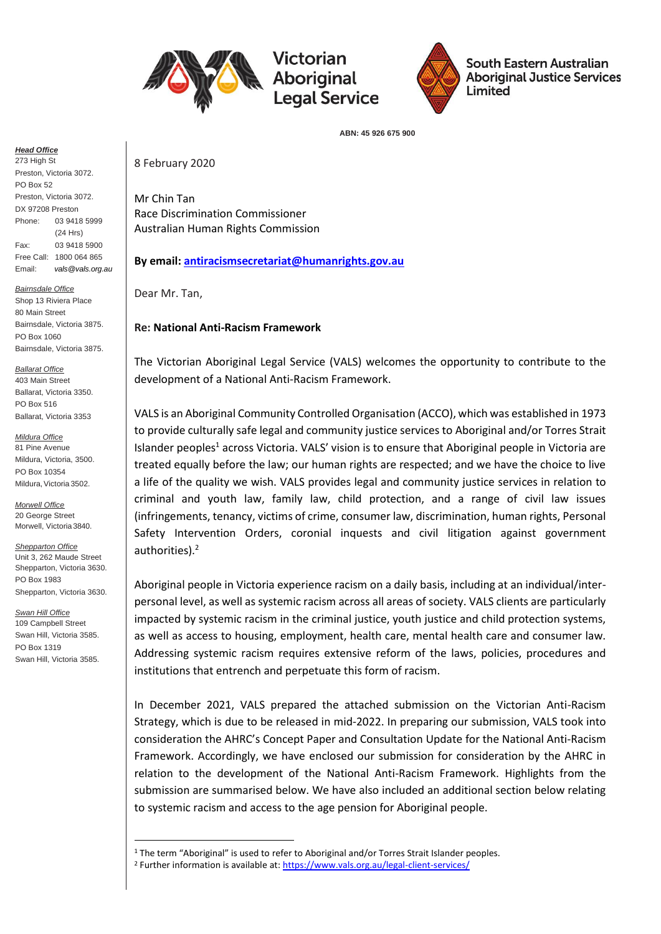

# Victorian Aboriginal **Legal Service**



**South Eastern Australian Aboriginal Justice Services** Limited

**ABN: 45 926 675 900**

*Head Office*

273 High St Preston, Victoria 3072. PO Box 52 Preston, Victoria 3072. DX 97208 Preston Phone: 03 9418 5999 (24 Hrs) Fax: 03 9418 5900 Free Call: 1800 064 865 Email: *[vals@vals.org.au](mailto:vals@vals.org.au)*

*Bairnsdale Office* Shop 13 Riviera Place 80 Main Street Bairnsdale, Victoria 3875. PO Box 1060 Bairnsdale, Victoria 3875.

*Ballarat Office* 403 Main Street Ballarat, Victoria 3350. PO Box 516 Ballarat, Victoria 3353

*Mildura Office* 81 Pine Avenue Mildura, Victoria, 3500. PO Box 10354 Mildura, Victoria 3502.

*Morwell Office* 20 George Street Morwell, Victoria 3840.

*Shepparton Office* Unit 3, 262 Maude Street Shepparton, Victoria 3630. PO Box 1983 Shepparton, Victoria 3630.

*Swan Hill Office* 109 Campbell Street Swan Hill, Victoria 3585. PO Box 1319 Swan Hill, Victoria 3585. 8 February 2020

Mr Chin Tan Race Discrimination Commissioner Australian Human Rights Commission

**By email[: antiracismsecretariat@humanrights.gov.au](mailto:antiracismsecretariat@humanrights.gov.au)**

Dear Mr. Tan,

## **Re: National Anti-Racism Framework**

The Victorian Aboriginal Legal Service (VALS) welcomes the opportunity to contribute to the development of a National Anti-Racism Framework.

VALS is an Aboriginal Community Controlled Organisation (ACCO), which was established in 1973 to provide culturally safe legal and community justice services to Aboriginal and/or Torres Strait Islander peoples<sup>1</sup> across Victoria. VALS' vision is to ensure that Aboriginal people in Victoria are treated equally before the law; our human rights are respected; and we have the choice to live a life of the quality we wish. VALS provides legal and community justice services in relation to criminal and youth law, family law, child protection, and a range of civil law issues (infringements, tenancy, victims of crime, consumer law, discrimination, human rights, Personal Safety Intervention Orders, coronial inquests and civil litigation against government authorities).<sup>2</sup>

Aboriginal people in Victoria experience racism on a daily basis, including at an individual/interpersonal level, as well as systemic racism across all areas of society. VALS clients are particularly impacted by systemic racism in the criminal justice, youth justice and child protection systems, as well as access to housing, employment, health care, mental health care and consumer law. Addressing systemic racism requires extensive reform of the laws, policies, procedures and institutions that entrench and perpetuate this form of racism.

In December 2021, VALS prepared the attached submission on the Victorian Anti-Racism Strategy, which is due to be released in mid-2022. In preparing our submission, VALS took into consideration the AHRC's Concept Paper and Consultation Update for the National Anti-Racism Framework. Accordingly, we have enclosed our submission for consideration by the AHRC in relation to the development of the National Anti-Racism Framework. Highlights from the submission are summarised below. We have also included an additional section below relating to systemic racism and access to the age pension for Aboriginal people.

<sup>&</sup>lt;sup>1</sup> The term "Aboriginal" is used to refer to Aboriginal and/or Torres Strait Islander peoples.

<sup>&</sup>lt;sup>2</sup> Further information is available at:<https://www.vals.org.au/legal-client-services/>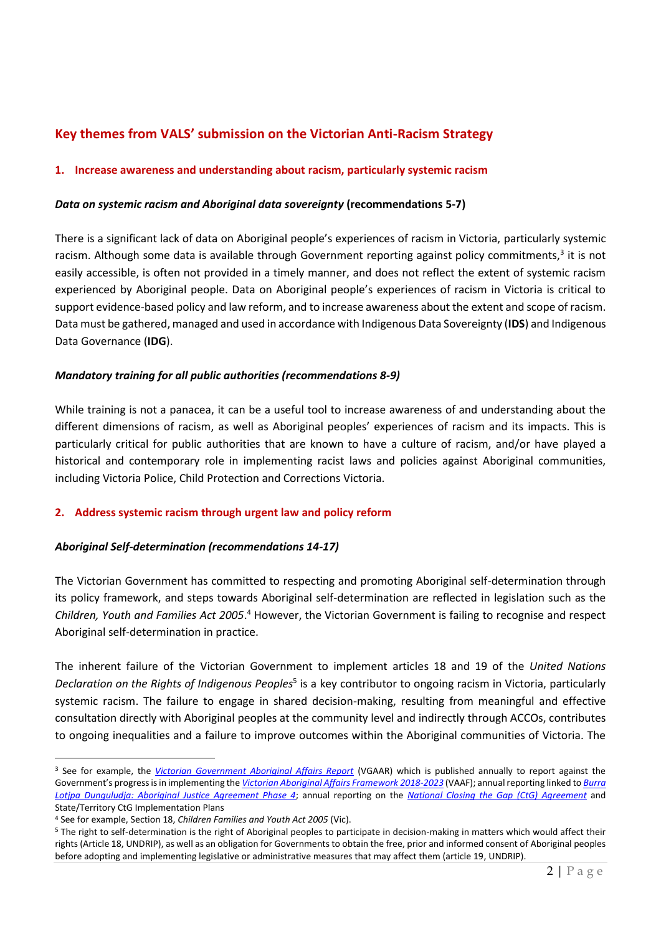# **Key themes from VALS' submission on the Victorian Anti-Racism Strategy**

#### **1. Increase awareness and understanding about racism, particularly systemic racism**

#### *Data on systemic racism and Aboriginal data sovereignty* **(recommendations 5-7)**

There is a significant lack of data on Aboriginal people's experiences of racism in Victoria, particularly systemic racism. Although some data is available through Government reporting against policy commitments,<sup>3</sup> it is not easily accessible, is often not provided in a timely manner, and does not reflect the extent of systemic racism experienced by Aboriginal people. Data on Aboriginal people's experiences of racism in Victoria is critical to support evidence-based policy and law reform, and to increase awareness about the extent and scope of racism. Data must be gathered, managed and used in accordance with Indigenous Data Sovereignty (**IDS**) and Indigenous Data Governance (**IDG**).

#### *Mandatory training for all public authorities (recommendations 8-9)*

While training is not a panacea, it can be a useful tool to increase awareness of and understanding about the different dimensions of racism, as well as Aboriginal peoples' experiences of racism and its impacts. This is particularly critical for public authorities that are known to have a culture of racism, and/or have played a historical and contemporary role in implementing racist laws and policies against Aboriginal communities, including Victoria Police, Child Protection and Corrections Victoria.

#### **2. Address systemic racism through urgent law and policy reform**

#### *Aboriginal Self-determination (recommendations 14-17)*

The Victorian Government has committed to respecting and promoting Aboriginal self-determination through its policy framework, and steps towards Aboriginal self-determination are reflected in legislation such as the Children, Youth and Families Act 2005.<sup>4</sup> However, the Victorian Government is failing to recognise and respect Aboriginal self-determination in practice.

The inherent failure of the Victorian Government to implement articles 18 and 19 of the *United Nations*  Declaration on the Rights of Indigenous Peoples<sup>5</sup> is a key contributor to ongoing racism in Victoria, particularly systemic racism. The failure to engage in shared decision-making, resulting from meaningful and effective consultation directly with Aboriginal peoples at the community level and indirectly through ACCOs, contributes to ongoing inequalities and a failure to improve outcomes within the Aboriginal communities of Victoria. The

<sup>3</sup> See for example, the *[Victorian Government Aboriginal Affairs Report](https://www.firstpeoplesrelations.vic.gov.au/aboriginal-affairs-report)* (VGAAR) which is published annually to report against the Government's progress is in implementing the *[Victorian Aboriginal Affairs Framework 2018-2023](https://content.vic.gov.au/sites/default/files/2019-09/Victorian-Aboriginal-Affairs-Framework_1.pdf)* (VAAF); annual reporting linked to *[Burra](https://files.aboriginaljustice.vic.gov.au/2021-02/Victorian%20Aboriginal%20Justice%20Agreement%20Phase%204.pdf)  [Lotjpa Dunguludja: Aboriginal Justice Agreement Phase 4](https://files.aboriginaljustice.vic.gov.au/2021-02/Victorian%20Aboriginal%20Justice%20Agreement%20Phase%204.pdf)*; annual reporting on the *[National Closing the Gap \(CtG\) Agreement](https://www.pc.gov.au/closing-the-gap-data)* and State/Territory CtG Implementation Plans

<sup>4</sup> See for example, Section 18, *Children Families and Youth Act 2005* (Vic).

<sup>5</sup> The right to self-determination is the right of Aboriginal peoples to participate in decision-making in matters which would affect their rights (Article 18, UNDRIP), as well as an obligation for Governments to obtain the free, prior and informed consent of Aboriginal peoples before adopting and implementing legislative or administrative measures that may affect them (article 19, UNDRIP).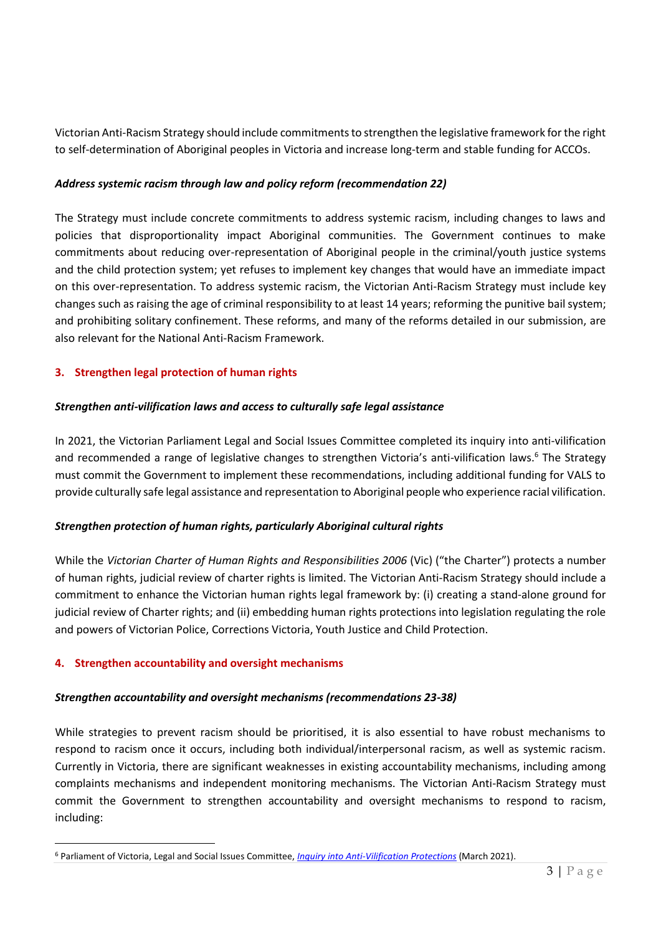Victorian Anti-Racism Strategy should include commitments to strengthen the legislative framework for the right to self-determination of Aboriginal peoples in Victoria and increase long-term and stable funding for ACCOs.

#### *Address systemic racism through law and policy reform (recommendation 22)*

The Strategy must include concrete commitments to address systemic racism, including changes to laws and policies that disproportionality impact Aboriginal communities. The Government continues to make commitments about reducing over-representation of Aboriginal people in the criminal/youth justice systems and the child protection system; yet refuses to implement key changes that would have an immediate impact on this over-representation. To address systemic racism, the Victorian Anti-Racism Strategy must include key changes such as raising the age of criminal responsibility to at least 14 years; reforming the punitive bail system; and prohibiting solitary confinement. These reforms, and many of the reforms detailed in our submission, are also relevant for the National Anti-Racism Framework.

#### **3. Strengthen legal protection of human rights**

#### *Strengthen anti-vilification laws and access to culturally safe legal assistance*

In 2021, the Victorian Parliament Legal and Social Issues Committee completed its inquiry into anti-vilification and recommended a range of legislative changes to strengthen Victoria's anti-vilification laws.<sup>6</sup> The Strategy must commit the Government to implement these recommendations, including additional funding for VALS to provide culturally safe legal assistance and representation to Aboriginal people who experience racial vilification.

#### *Strengthen protection of human rights, particularly Aboriginal cultural rights*

While the *Victorian Charter of Human Rights and Responsibilities 2006* (Vic) ("the Charter") protects a number of human rights, judicial review of charter rights is limited. The Victorian Anti-Racism Strategy should include a commitment to enhance the Victorian human rights legal framework by: (i) creating a stand-alone ground for judicial review of Charter rights; and (ii) embedding human rights protections into legislation regulating the role and powers of Victorian Police, Corrections Victoria, Youth Justice and Child Protection.

#### **4. Strengthen accountability and oversight mechanisms**

# *Strengthen accountability and oversight mechanisms (recommendations 23-38)*

While strategies to prevent racism should be prioritised, it is also essential to have robust mechanisms to respond to racism once it occurs, including both individual/interpersonal racism, as well as systemic racism. Currently in Victoria, there are significant weaknesses in existing accountability mechanisms, including among complaints mechanisms and independent monitoring mechanisms. The Victorian Anti-Racism Strategy must commit the Government to strengthen accountability and oversight mechanisms to respond to racism, including:

<sup>6</sup> Parliament of Victoria, Legal and Social Issues Committee, *[Inquiry into Anti-Vilification Protections](https://www.parliament.vic.gov.au/images/stories/committees/lsic-LA/Inquiry_into_Anti-Vilification_Protections_/Report/Inquiry_into_Anti-vilification_Protections_002.pdf)* (March 2021).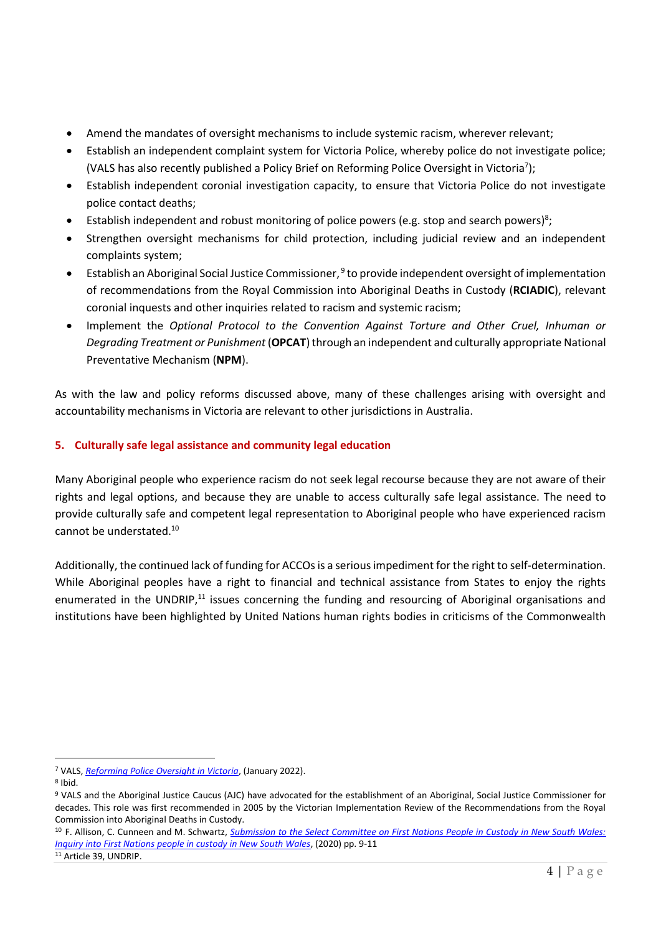- Amend the mandates of oversight mechanisms to include systemic racism, wherever relevant;
- Establish an independent complaint system for Victoria Police, whereby police do not investigate police; (VALS has also recently published a Policy Brief on Reforming Police Oversight in Victoria<sup>7</sup>);
- Establish independent coronial investigation capacity, to ensure that Victoria Police do not investigate police contact deaths;
- Establish independent and robust monitoring of police powers (e.g. stop and search powers)<sup>8</sup>;
- Strengthen oversight mechanisms for child protection, including judicial review and an independent complaints system;
- $\bullet$  Establish an Aboriginal Social Justice Commissioner,  $^9$  to provide independent oversight of implementation of recommendations from the Royal Commission into Aboriginal Deaths in Custody (**RCIADIC**), relevant coronial inquests and other inquiries related to racism and systemic racism;
- Implement the *Optional Protocol to the Convention Against Torture and Other Cruel, Inhuman or Degrading Treatment or Punishment* (OPCAT) through an independent and culturally appropriate National Preventative Mechanism (**NPM**).

As with the law and policy reforms discussed above, many of these challenges arising with oversight and accountability mechanisms in Victoria are relevant to other jurisdictions in Australia.

# **5. Culturally safe legal assistance and community legal education**

Many Aboriginal people who experience racism do not seek legal recourse because they are not aware of their rights and legal options, and because they are unable to access culturally safe legal assistance. The need to provide culturally safe and competent legal representation to Aboriginal people who have experienced racism cannot be understated.<sup>10</sup>

Additionally, the continued lack of funding for ACCOs is a serious impediment for the right to self-determination. While Aboriginal peoples have a right to financial and technical assistance from States to enjoy the rights enumerated in the UNDRIP,<sup>11</sup> issues concerning the funding and resourcing of Aboriginal organisations and institutions have been highlighted by United Nations human rights bodies in criticisms of the Commonwealth

<sup>7</sup> VALS, *[Reforming Police Oversight in Victoria](http://www.vals.org.au/wp-content/uploads/2022/01/Reforming-Police-Oversight.pdf)*, (January 2022).

<sup>8</sup> Ibid.

<sup>9</sup> VALS and the Aboriginal Justice Caucus (AJC) have advocated for the establishment of an Aboriginal, Social Justice Commissioner for decades. This role was first recommended in 2005 by the Victorian Implementation Review of the Recommendations from the Royal Commission into Aboriginal Deaths in Custody.

<sup>&</sup>lt;sup>10</sup> F. Allison, C. Cunneen and M. Schwartz, *Submission to the Select Committee on First Nations People in Custody in New South Wales: Inquiry [into First Nations people in custody in New South Wales](https://www.parliament.nsw.gov.au/lcdocs/submissions/69040/0108%20Dr%20Fiona%20Allison,%20Prof%20Chris%20Cunneen%20and%20Melanie%20Schwartz.pdf)*, (2020) pp. 9-11 <sup>11</sup> Article 39, UNDRIP.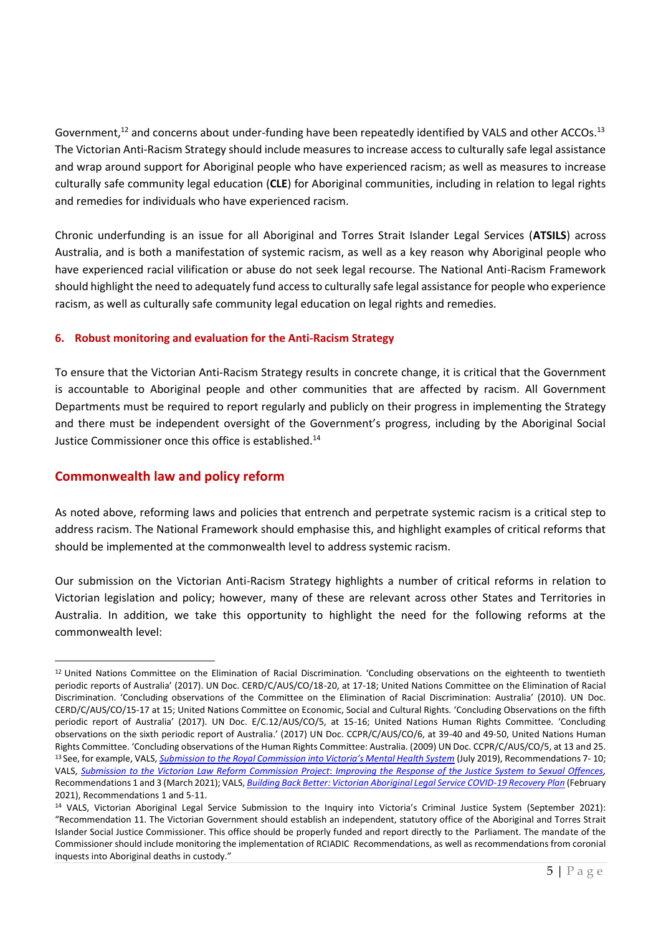Government,<sup>12</sup> and concerns about under-funding have been repeatedly identified by VALS and other ACCOs.<sup>13</sup> The Victorian Anti-Racism Strategy should include measures to increase access to culturally safe legal assistance and wrap around support for Aboriginal people who have experienced racism; as well as measures to increase culturally safe community legal education (**CLE**) for Aboriginal communities, including in relation to legal rights and remedies for individuals who have experienced racism.

Chronic underfunding is an issue for all Aboriginal and Torres Strait Islander Legal Services (**ATSILS**) across Australia, and is both a manifestation of systemic racism, as well as a key reason why Aboriginal people who have experienced racial vilification or abuse do not seek legal recourse. The National Anti-Racism Framework should highlight the need to adequately fund access to culturally safe legal assistance for people who experience racism, as well as culturally safe community legal education on legal rights and remedies.

#### **6. Robust monitoring and evaluation for the Anti-Racism Strategy**

To ensure that the Victorian Anti-Racism Strategy results in concrete change, it is critical that the Government is accountable to Aboriginal people and other communities that are affected by racism. All Government Departments must be required to report regularly and publicly on their progress in implementing the Strategy and there must be independent oversight of the Government's progress, including by the Aboriginal Social Justice Commissioner once this office is established.<sup>14</sup>

# **Commonwealth law and policy reform**

As noted above, reforming laws and policies that entrench and perpetrate systemic racism is a critical step to address racism. The National Framework should emphasise this, and highlight examples of critical reforms that should be implemented at the commonwealth level to address systemic racism.

Our submission on the Victorian Anti-Racism Strategy highlights a number of critical reforms in relation to Victorian legislation and policy; however, many of these are relevant across other States and Territories in Australia. In addition, we take this opportunity to highlight the need for the following reforms at the commonwealth level:

<sup>&</sup>lt;sup>12</sup> United Nations Committee on the Elimination of Racial Discrimination. 'Concluding observations on the eighteenth to twentieth periodic reports of Australia' (2017). UN Doc. CERD/C/AUS/CO/18-20, at 17-18; United Nations Committee on the Elimination of Racial Discrimination. 'Concluding observations of the Committee on the Elimination of Racial Discrimination: Australia' (2010). UN Doc. CERD/C/AUS/CO/15-17 at 15; United Nations Committee on Economic, Social and Cultural Rights. 'Concluding Observations on the fifth periodic report of Australia' (2017). UN Doc. E/C.12/AUS/CO/5, at 15-16; United Nations Human Rights Committee. 'Concluding observations on the sixth periodic report of Australia.' (2017) UN Doc. CCPR/C/AUS/CO/6, at 39-40 and 49-50, United Nations Human Rights Committee. 'Concluding observations of the Human Rights Committee: Australia. (2009) UN Doc. CCPR/C/AUS/CO/5, at 13 and 25. <sup>13</sup> See, for example, VALS, *[Submission to the Royal Commission into Victoria's Mental Health System](http://rcvmhs.archive.royalcommission.vic.gov.au/Victorian_Aboriginal_Legal_Service_VALS.pdf)* (July 2019), Recommendations 7- 10; VALS, *Submission to the Victorian Law Reform Commission Project*: *[Improving the Response of the Justice System to Sexual Offences,](https://www.vals.org.au/wp-content/uploads/2021/03/VALS-Submission-to-the-Victorian-Law-Reform-Commission-Project-Improving-the-Response-of-the-Justice-System-to-Sexual-Offences.pdf)*  Recommendations 1 and 3 (March 2021); VALS, *[Building Back Better: Victorian Aboriginal Legal Service COVID-19 Recovery Plan](https://www.vals.org.au/wp-content/uploads/2021/02/Building-Back-Better-Victorian-Aboriginal-Legal-Service-COVID-19-Recovery-Plan-February-2021-FOR-DISTRIBUTION.pdf)* (February 2021), Recommendations 1 and 5-11.

<sup>14</sup> VALS, Victorian Aboriginal Legal Service Submission to the Inquiry into Victoria's Criminal Justice System (September 2021): "Recommendation 11. The Victorian Government should establish an independent, statutory office of the Aboriginal and Torres Strait Islander Social Justice Commissioner. This office should be properly funded and report directly to the Parliament. The mandate of the Commissioner should include monitoring the implementation of RCIADIC Recommendations, as well as recommendations from coronial inquests into Aboriginal deaths in custody."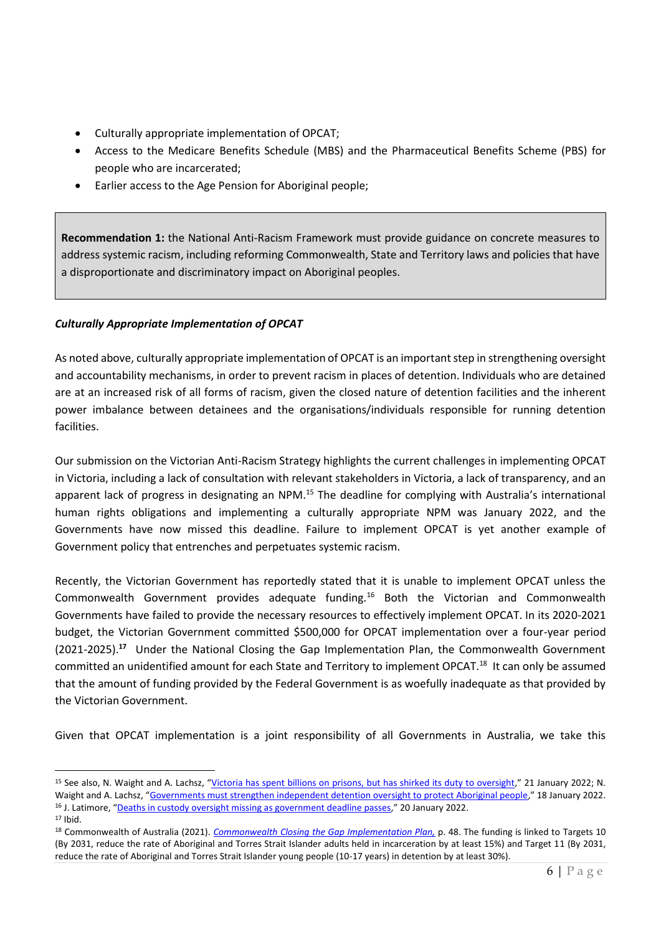- Culturally appropriate implementation of OPCAT;
- Access to the Medicare Benefits Schedule (MBS) and the Pharmaceutical Benefits Scheme (PBS) for people who are incarcerated;
- Earlier access to the Age Pension for Aboriginal people;

**Recommendation 1:** the National Anti-Racism Framework must provide guidance on concrete measures to address systemic racism, including reforming Commonwealth, State and Territory laws and policies that have a disproportionate and discriminatory impact on Aboriginal peoples.

## *Culturally Appropriate Implementation of OPCAT*

As noted above, culturally appropriate implementation of OPCAT is an important step in strengthening oversight and accountability mechanisms, in order to prevent racism in places of detention. Individuals who are detained are at an increased risk of all forms of racism, given the closed nature of detention facilities and the inherent power imbalance between detainees and the organisations/individuals responsible for running detention facilities.

Our submission on the Victorian Anti-Racism Strategy highlights the current challenges in implementing OPCAT in Victoria, including a lack of consultation with relevant stakeholders in Victoria, a lack of transparency, and an apparent lack of progress in designating an NPM.<sup>15</sup> The deadline for complying with Australia's international human rights obligations and implementing a culturally appropriate NPM was January 2022, and the Governments have now missed this deadline. Failure to implement OPCAT is yet another example of Government policy that entrenches and perpetuates systemic racism.

Recently, the Victorian Government has reportedly stated that it is unable to implement OPCAT unless the Commonwealth Government provides adequate funding.<sup>16</sup> Both the Victorian and Commonwealth Governments have failed to provide the necessary resources to effectively implement OPCAT. In its 2020-2021 budget, the Victorian Government committed \$500,000 for OPCAT implementation over a four-year period (2021-2025). **<sup>17</sup>** Under the National Closing the Gap Implementation Plan, the Commonwealth Government committed an unidentified amount for each State and Territory to implement OPCAT.<sup>18</sup> It can only be assumed that the amount of funding provided by the Federal Government is as woefully inadequate as that provided by the Victorian Government.

Given that OPCAT implementation is a joint responsibility of all Governments in Australia, we take this

<sup>&</sup>lt;sup>15</sup> See also, N. Waight and A. Lachsz, "[Victoria has spent billions on prisons, but has shirked its duty to oversight](https://www.theage.com.au/national/victoria-has-spent-billions-on-prisons-but-has-shirked-its-duty-to-oversight-20220120-p59pyg.html)," 21 January 2022; N. Waight and A. Lachsz, "[Governments must strengthen independent detention oversight to protect Aboriginal people](https://nit.com.au/governments-must-strengthen-independent-detention-oversight-to-protect-aboriginal-people/)," 18 January 2022. <sup>16</sup> J. Latimore, "[Deaths in custody oversight missing as government deadline passes](https://www.theage.com.au/national/deaths-in-custody-oversight-missing-as-government-deadline-passes-20220120-p59pwv.html?utm_medium=Social&utm_source=Twitter#Echobox=1642717966-1)," 20 January 2022.

 $17$  Ibid.

<sup>&</sup>lt;sup>18</sup> Commonwealth of Australia (2021). *Commonwealth Closing the Gap Implementation Plan*, p. 48. The funding is linked to Targets 10 (By 2031, reduce the rate of Aboriginal and Torres Strait Islander adults held in incarceration by at least 15%) and Target 11 (By 2031, reduce the rate of Aboriginal and Torres Strait Islander young people (10-17 years) in detention by at least 30%).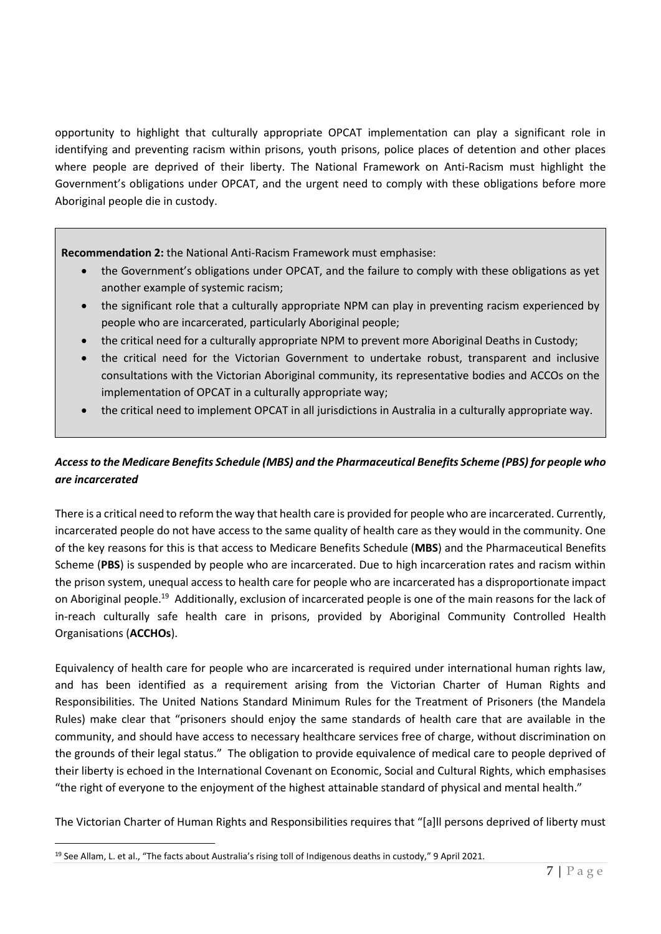opportunity to highlight that culturally appropriate OPCAT implementation can play a significant role in identifying and preventing racism within prisons, youth prisons, police places of detention and other places where people are deprived of their liberty. The National Framework on Anti-Racism must highlight the Government's obligations under OPCAT, and the urgent need to comply with these obligations before more Aboriginal people die in custody.

**Recommendation 2:** the National Anti-Racism Framework must emphasise:

- the Government's obligations under OPCAT, and the failure to comply with these obligations as yet another example of systemic racism;
- the significant role that a culturally appropriate NPM can play in preventing racism experienced by people who are incarcerated, particularly Aboriginal people;
- the critical need for a culturally appropriate NPM to prevent more Aboriginal Deaths in Custody;
- the critical need for the Victorian Government to undertake robust, transparent and inclusive consultations with the Victorian Aboriginal community, its representative bodies and ACCOs on the implementation of OPCAT in a culturally appropriate way;
- the critical need to implement OPCAT in all jurisdictions in Australia in a culturally appropriate way.

# *Access to the Medicare Benefits Schedule (MBS) and the Pharmaceutical Benefits Scheme (PBS) for people who are incarcerated*

There is a critical need to reform the way that health care is provided for people who are incarcerated. Currently, incarcerated people do not have access to the same quality of health care as they would in the community. One of the key reasons for this is that access to Medicare Benefits Schedule (**MBS**) and the Pharmaceutical Benefits Scheme (**PBS**) is suspended by people who are incarcerated. Due to high incarceration rates and racism within the prison system, unequal access to health care for people who are incarcerated has a disproportionate impact on Aboriginal people.<sup>19</sup> Additionally, exclusion of incarcerated people is one of the main reasons for the lack of in-reach culturally safe health care in prisons, provided by Aboriginal Community Controlled Health Organisations (**ACCHOs**).

Equivalency of health care for people who are incarcerated is required under international human rights law, and has been identified as a requirement arising from the Victorian Charter of Human Rights and Responsibilities. The United Nations Standard Minimum Rules for the Treatment of Prisoners (the Mandela Rules) make clear that "prisoners should enjoy the same standards of health care that are available in the community, and should have access to necessary healthcare services free of charge, without discrimination on the grounds of their legal status." The obligation to provide equivalence of medical care to people deprived of their liberty is echoed in the International Covenant on Economic, Social and Cultural Rights, which emphasises "the right of everyone to the enjoyment of the highest attainable standard of physical and mental health."

The Victorian Charter of Human Rights and Responsibilities requires that "[a]ll persons deprived of liberty must

<sup>19</sup> See Allam, L. et al., "The facts about Australia's rising toll of Indigenous deaths in custody," 9 April 2021.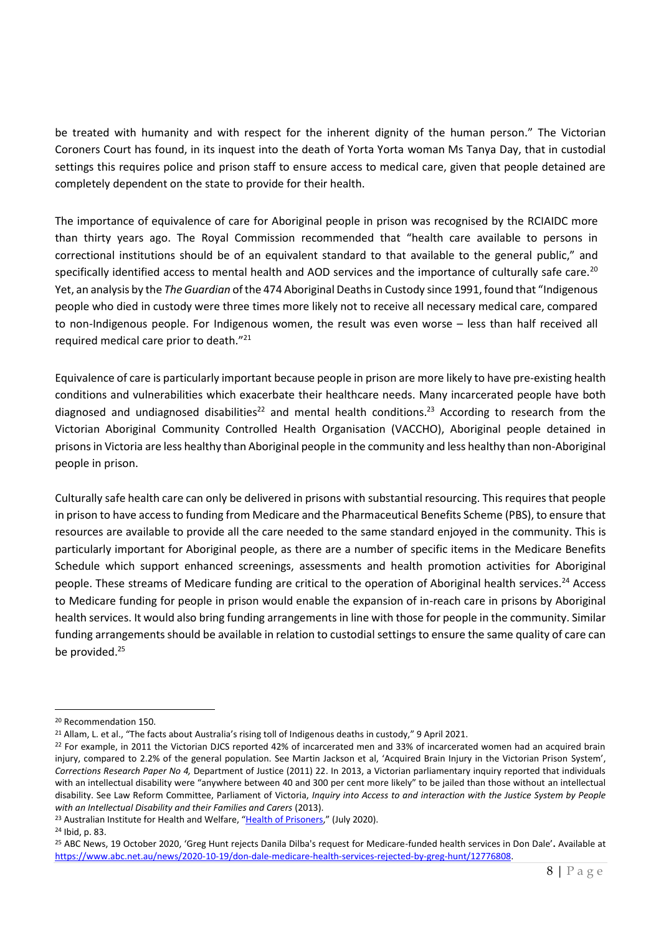be treated with humanity and with respect for the inherent dignity of the human person." The Victorian Coroners Court has found, in its inquest into the death of Yorta Yorta woman Ms Tanya Day, that in custodial settings this requires police and prison staff to ensure access to medical care, given that people detained are completely dependent on the state to provide for their health.

The importance of equivalence of care for Aboriginal people in prison was recognised by the RCIAIDC more than thirty years ago. The Royal Commission recommended that "health care available to persons in correctional institutions should be of an equivalent standard to that available to the general public," and specifically identified access to mental health and AOD services and the importance of culturally safe care.<sup>20</sup> Yet, an analysis by the *The Guardian* of the 474 Aboriginal Deaths in Custody since 1991, found that "Indigenous people who died in custody were three times more likely not to receive all necessary medical care, compared to non-Indigenous people. For Indigenous women, the result was even worse – less than half received all required medical care prior to death."<sup>21</sup>

Equivalence of care is particularly important because people in prison are more likely to have pre-existing health conditions and vulnerabilities which exacerbate their healthcare needs. Many incarcerated people have both diagnosed and undiagnosed disabilities<sup>22</sup> and mental health conditions.<sup>23</sup> According to research from the Victorian Aboriginal Community Controlled Health Organisation (VACCHO), Aboriginal people detained in prisons in Victoria are less healthy than Aboriginal people in the community and less healthy than non-Aboriginal people in prison.

Culturally safe health care can only be delivered in prisons with substantial resourcing. This requires that people in prison to have access to funding from Medicare and the Pharmaceutical Benefits Scheme (PBS), to ensure that resources are available to provide all the care needed to the same standard enjoyed in the community. This is particularly important for Aboriginal people, as there are a number of specific items in the Medicare Benefits Schedule which support enhanced screenings, assessments and health promotion activities for Aboriginal people. These streams of Medicare funding are critical to the operation of Aboriginal health services.<sup>24</sup> Access to Medicare funding for people in prison would enable the expansion of in-reach care in prisons by Aboriginal health services. It would also bring funding arrangements in line with those for people in the community. Similar funding arrangements should be available in relation to custodial settings to ensure the same quality of care can be provided.<sup>25</sup>

<sup>20</sup> Recommendation 150.

<sup>&</sup>lt;sup>21</sup> Allam, L. et al., "The facts about Australia's rising toll of Indigenous deaths in custody," 9 April 2021.

 $22$  For example, in 2011 the Victorian DJCS reported 42% of incarcerated men and 33% of incarcerated women had an acquired brain injury, compared to 2.2% of the general population. See Martin Jackson et al, 'Acquired Brain Injury in the Victorian Prison System', *Corrections Research Paper No 4,* Department of Justice (2011) 22. In 2013, a Victorian parliamentary inquiry reported that individuals with an intellectual disability were "anywhere between 40 and 300 per cent more likely" to be jailed than those without an intellectual disability. See Law Reform Committee, Parliament of Victoria, *Inquiry into Access to and interaction with the Justice System by People*  with an Intellectual Disability and their Families and Carers (2013).

<sup>&</sup>lt;sup>23</sup> Australian Institute for Health and Welfare, "[Health of Prisoners](https://www.aihw.gov.au/reports/australias-health/health-of-prisoners)," (July 2020).

<sup>24</sup> Ibid, p. 83.

<sup>25</sup> ABC News, 19 October 2020, 'Greg Hunt rejects Danila Dilba's request for Medicare-funded health services in Don Dale'**.** Available at [https://www.abc.net.au/news/2020-10-19/don-dale-medicare-health-services-rejected-by-greg-hunt/12776808.](https://www.abc.net.au/news/2020-10-19/don-dale-medicare-health-services-rejected-by-greg-hunt/12776808)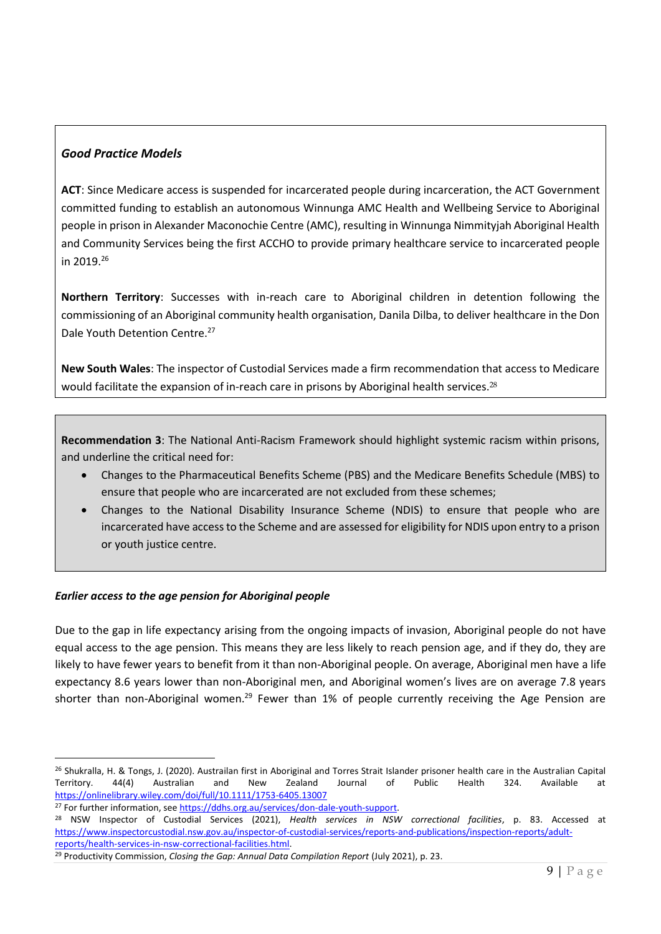# *Good Practice Models*

**ACT**: Since Medicare access is suspended for incarcerated people during incarceration, the ACT Government committed funding to establish an autonomous Winnunga AMC Health and Wellbeing Service to Aboriginal people in prison in Alexander Maconochie Centre (AMC), resulting in Winnunga Nimmityjah Aboriginal Health and Community Services being the first ACCHO to provide primary healthcare service to incarcerated people in 2019.<sup>26</sup>

**Northern Territory**: Successes with in-reach care to Aboriginal children in detention following the commissioning of an Aboriginal community health organisation, Danila Dilba, to deliver healthcare in the Don Dale Youth Detention Centre.<sup>27</sup>

**New South Wales**: The inspector of Custodial Services made a firm recommendation that access to Medicare would facilitate the expansion of in-reach care in prisons by Aboriginal health services.<sup>28</sup>

**Recommendation 3**: The National Anti-Racism Framework should highlight systemic racism within prisons, and underline the critical need for:

- Changes to the Pharmaceutical Benefits Scheme (PBS) and the Medicare Benefits Schedule (MBS) to ensure that people who are incarcerated are not excluded from these schemes;
- Changes to the National Disability Insurance Scheme (NDIS) to ensure that people who are incarcerated have access to the Scheme and are assessed for eligibility for NDIS upon entry to a prison or youth justice centre.

#### *Earlier access to the age pension for Aboriginal people*

Due to the gap in life expectancy arising from the ongoing impacts of invasion, Aboriginal people do not have equal access to the age pension. This means they are less likely to reach pension age, and if they do, they are likely to have fewer years to benefit from it than non-Aboriginal people. On average, Aboriginal men have a life expectancy 8.6 years lower than non-Aboriginal men, and Aboriginal women's lives are on average 7.8 years shorter than non-Aboriginal women.<sup>29</sup> Fewer than 1% of people currently receiving the Age Pension are

<sup>&</sup>lt;sup>26</sup> Shukralla, H. & Tongs, J. (2020). Austrailan first in Aboriginal and Torres Strait Islander prisoner health care in the Australian Capital Territory. 44(4) Australian and New Zealand Journal of Public Health 324. Available at <https://onlinelibrary.wiley.com/doi/full/10.1111/1753-6405.13007>

<sup>&</sup>lt;sup>27</sup> For further information, see [https://ddhs.org.au/services/don-dale-youth-support.](https://ddhs.org.au/services/don-dale-youth-support)

<sup>28</sup> NSW Inspector of Custodial Services (2021), *Health services in NSW correctional facilities*, p. 83. Accessed at [https://www.inspectorcustodial.nsw.gov.au/inspector-of-custodial-services/reports-and-publications/inspection-reports/adult](https://www.inspectorcustodial.nsw.gov.au/inspector-of-custodial-services/reports-and-publications/inspection-reports/adult-reports/health-services-in-nsw-correctional-facilities.html)[reports/health-services-in-nsw-correctional-facilities.html.](https://www.inspectorcustodial.nsw.gov.au/inspector-of-custodial-services/reports-and-publications/inspection-reports/adult-reports/health-services-in-nsw-correctional-facilities.html)

<sup>29</sup> Productivity Commission, *Closing the Gap: Annual Data Compilation Report* (July 2021), p. 23.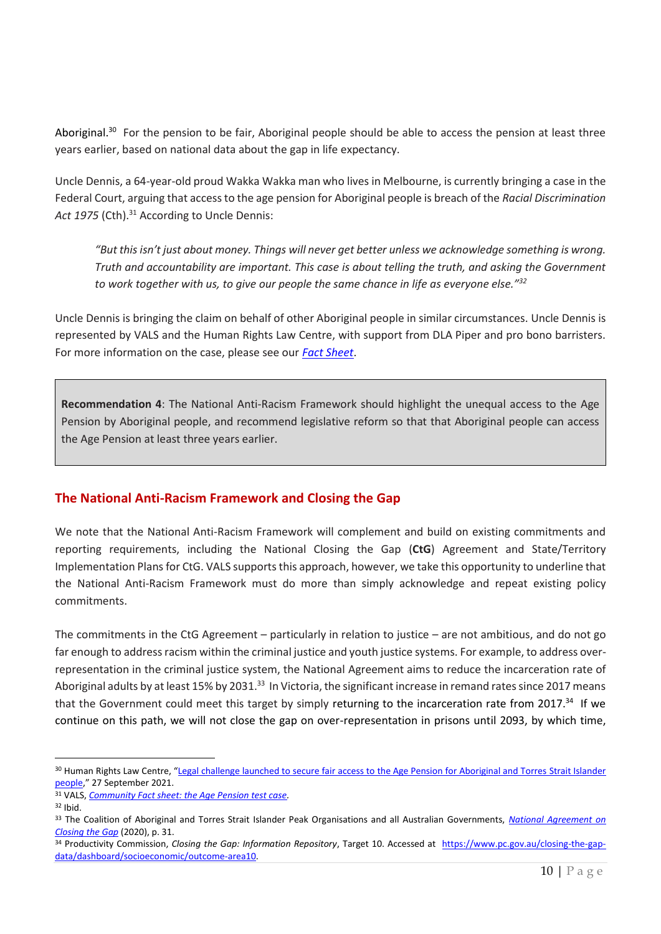Aboriginal.<sup>30</sup> For the pension to be fair, Aboriginal people should be able to access the pension at least three years earlier, based on national data about the gap in life expectancy.

Uncle Dennis, a 64-year-old proud Wakka Wakka man who lives in Melbourne, is currently bringing a case in the Federal Court, arguing that access to the age pension for Aboriginal people is breach of the *Racial Discrimination*  Act 1975 (Cth).<sup>31</sup> According to Uncle Dennis:

*"But this isn't just about money. Things will never get better unless we acknowledge something is wrong. Truth and accountability are important. This case is about telling the truth, and asking the Government to work together with us, to give our people the same chance in life as everyone else."<sup>32</sup>* 

Uncle Dennis is bringing the claim on behalf of other Aboriginal people in similar circumstances. Uncle Dennis is represented by VALS and the Human Rights Law Centre, with support from DLA Piper and pro bono barristers. For more information on the case, please see our *[Fact Sheet](https://www.vals.org.au/wp-content/uploads/2021/10/Community-fact-sheet-the-Age-Pension-test-case.pdf)*.

**Recommendation 4**: The National Anti-Racism Framework should highlight the unequal access to the Age Pension by Aboriginal people, and recommend legislative reform so that that Aboriginal people can access the Age Pension at least three years earlier.

# **The National Anti-Racism Framework and Closing the Gap**

We note that the National Anti-Racism Framework will complement and build on existing commitments and reporting requirements, including the National Closing the Gap (**CtG**) Agreement and State/Territory Implementation Plans for CtG. VALS supports this approach, however, we take this opportunity to underline that the National Anti-Racism Framework must do more than simply acknowledge and repeat existing policy commitments.

The commitments in the CtG Agreement – particularly in relation to justice – are not ambitious, and do not go far enough to address racism within the criminal justice and youth justice systems. For example, to address overrepresentation in the criminal justice system, the National Agreement aims to reduce the incarceration rate of Aboriginal adults by at least 15% by 2031.<sup>33</sup> In Victoria, the significant increase in remand rates since 2017 means that the Government could meet this target by simply returning to the incarceration rate from 2017.<sup>34</sup> If we continue on this path, we will not close the gap on over-representation in prisons until 2093, by which time,

<sup>30</sup> Human Rights Law Centre, "[Legal challenge launched to secure fair access to the Age Pension for Aboriginal and Torres](https://www.vals.org.au/legal-challenge-launched-to-secure-fair-access-to-the-age-pension-for-aboriginal-and-torres-strait-islander-people/) Strait Islander [people](https://www.vals.org.au/legal-challenge-launched-to-secure-fair-access-to-the-age-pension-for-aboriginal-and-torres-strait-islander-people/)," 27 September 2021.

<sup>31</sup> VALS, *[Community Fact sheet: the Age Pension test case.](https://www.vals.org.au/wp-content/uploads/2021/10/Community-fact-sheet-the-Age-Pension-test-case.pdf)*

 $32$  Ibid.

<sup>33</sup> The Coalition of Aboriginal and Torres Strait Islander Peak Organisations and all Australian Governments, *[National Agreement on](https://www.closingthegap.gov.au/national-agreement/national-agreement-closing-the-gap)  [Closing the Gap](https://www.closingthegap.gov.au/national-agreement/national-agreement-closing-the-gap)* (2020), p. 31.

<sup>34</sup> Productivity Commission, *Closing the Gap: Information Repository*, Target 10. Accessed at [https://www.pc.gov.au/closing-the-gap](https://www.pc.gov.au/closing-the-gap-data/dashboard/socioeconomic/outcome-area10)[data/dashboard/socioeconomic/outcome-area10.](https://www.pc.gov.au/closing-the-gap-data/dashboard/socioeconomic/outcome-area10)